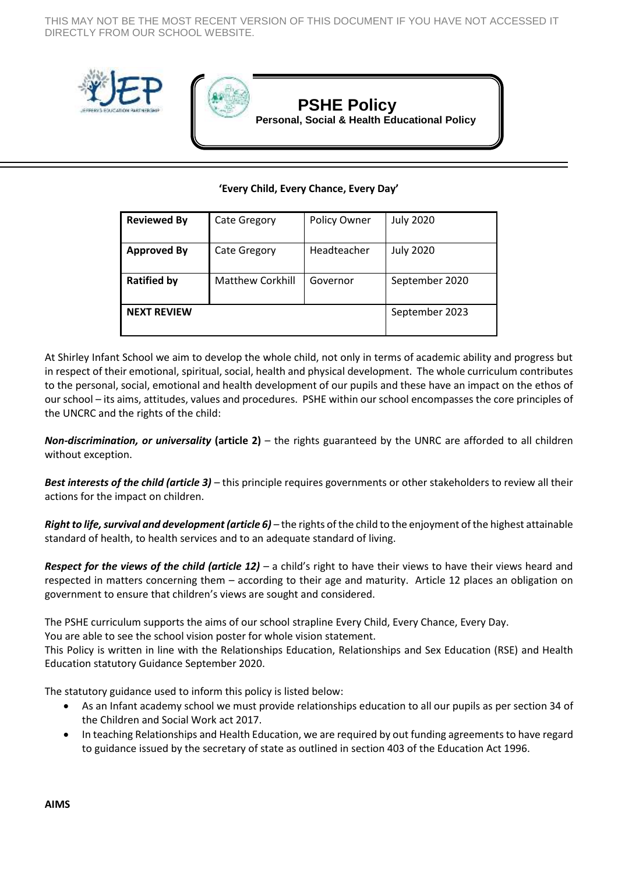THIS MAY NOT BE THE MOST RECENT VERSION OF THIS DOCUMENT IF YOU HAVE NOT ACCESSED IT DIRECTLY FROM OUR SCHOOL WEBSITE.





# **PSHE Policy**

**Personal, Social & Health Educational Policy**

## **'Every Child, Every Chance, Every Day'**

| <b>Reviewed By</b> | <b>Cate Gregory</b>     | Policy Owner   | <b>July 2020</b> |
|--------------------|-------------------------|----------------|------------------|
| <b>Approved By</b> | <b>Cate Gregory</b>     | Headteacher    | <b>July 2020</b> |
| <b>Ratified by</b> | <b>Matthew Corkhill</b> | Governor       | September 2020   |
| <b>NEXT REVIEW</b> |                         | September 2023 |                  |

At Shirley Infant School we aim to develop the whole child, not only in terms of academic ability and progress but in respect of their emotional, spiritual, social, health and physical development. The whole curriculum contributes to the personal, social, emotional and health development of our pupils and these have an impact on the ethos of our school – its aims, attitudes, values and procedures. PSHE within our school encompasses the core principles of the UNCRC and the rights of the child:

*Non-discrimination, or universality* **(article 2)** – the rights guaranteed by the UNRC are afforded to all children without exception.

*Best interests of the child (article 3) –* this principle requires governments or other stakeholders to review all their actions for the impact on children.

*Right to life, survival and development (article 6) –* the rights of the child to the enjoyment of the highest attainable standard of health, to health services and to an adequate standard of living.

*Respect for the views of the child (article 12) –* a child's right to have their views to have their views heard and respected in matters concerning them – according to their age and maturity. Article 12 places an obligation on government to ensure that children's views are sought and considered.

The PSHE curriculum supports the aims of our school strapline Every Child, Every Chance, Every Day.

You are able to see the school vision poster for whole vision statement.

This Policy is written in line with the Relationships Education, Relationships and Sex Education (RSE) and Health Education statutory Guidance September 2020.

The statutory guidance used to inform this policy is listed below:

- As an Infant academy school we must provide relationships education to all our pupils as per section 34 of the Children and Social Work act 2017.
- In teaching Relationships and Health Education, we are required by out funding agreements to have regard to guidance issued by the secretary of state as outlined in section 403 of the Education Act 1996.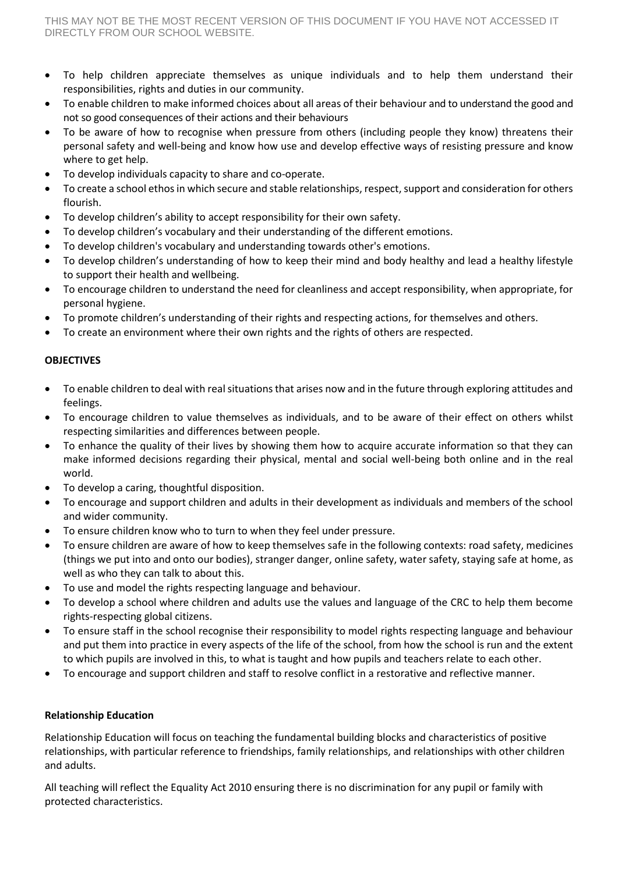- To help children appreciate themselves as unique individuals and to help them understand their responsibilities, rights and duties in our community.
- To enable children to make informed choices about all areas of their behaviour and to understand the good and not so good consequences of their actions and their behaviours
- To be aware of how to recognise when pressure from others (including people they know) threatens their personal safety and well-being and know how use and develop effective ways of resisting pressure and know where to get help.
- To develop individuals capacity to share and co-operate.
- To create a school ethos in which secure and stable relationships, respect, support and consideration for others flourish.
- To develop children's ability to accept responsibility for their own safety.
- To develop children's vocabulary and their understanding of the different emotions.
- To develop children's vocabulary and understanding towards other's emotions.
- To develop children's understanding of how to keep their mind and body healthy and lead a healthy lifestyle to support their health and wellbeing.
- To encourage children to understand the need for cleanliness and accept responsibility, when appropriate, for personal hygiene.
- To promote children's understanding of their rights and respecting actions, for themselves and others.
- To create an environment where their own rights and the rights of others are respected.

## **OBJECTIVES**

- To enable children to deal with real situations that arises now and in the future through exploring attitudes and feelings.
- To encourage children to value themselves as individuals, and to be aware of their effect on others whilst respecting similarities and differences between people.
- To enhance the quality of their lives by showing them how to acquire accurate information so that they can make informed decisions regarding their physical, mental and social well-being both online and in the real world.
- To develop a caring, thoughtful disposition.
- To encourage and support children and adults in their development as individuals and members of the school and wider community.
- To ensure children know who to turn to when they feel under pressure.
- To ensure children are aware of how to keep themselves safe in the following contexts: road safety, medicines (things we put into and onto our bodies), stranger danger, online safety, water safety, staying safe at home, as well as who they can talk to about this.
- To use and model the rights respecting language and behaviour.
- To develop a school where children and adults use the values and language of the CRC to help them become rights-respecting global citizens.
- To ensure staff in the school recognise their responsibility to model rights respecting language and behaviour and put them into practice in every aspects of the life of the school, from how the school is run and the extent to which pupils are involved in this, to what is taught and how pupils and teachers relate to each other.
- To encourage and support children and staff to resolve conflict in a restorative and reflective manner.

## **Relationship Education**

Relationship Education will focus on teaching the fundamental building blocks and characteristics of positive relationships, with particular reference to friendships, family relationships, and relationships with other children and adults.

All teaching will reflect the Equality Act 2010 ensuring there is no discrimination for any pupil or family with protected characteristics.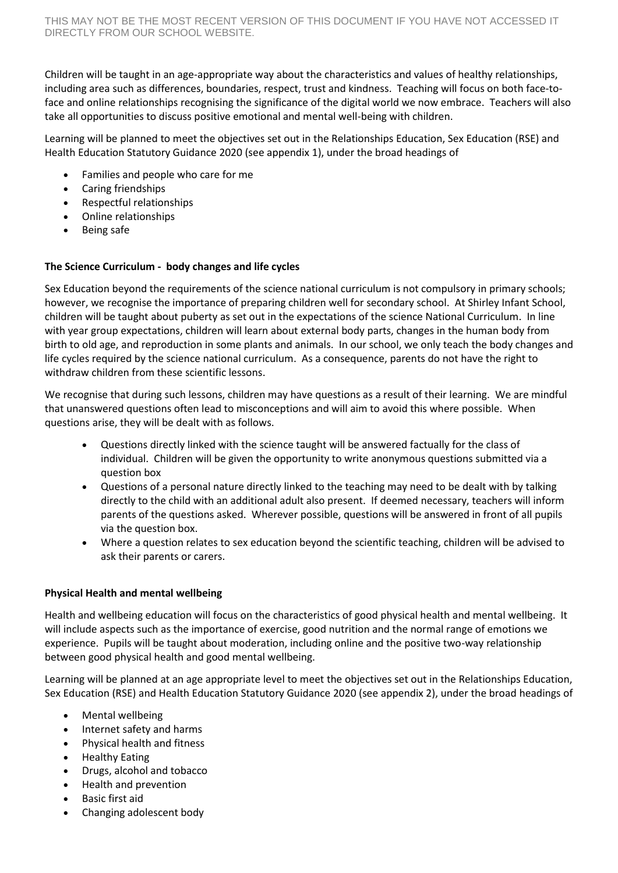Children will be taught in an age-appropriate way about the characteristics and values of healthy relationships, including area such as differences, boundaries, respect, trust and kindness. Teaching will focus on both face-toface and online relationships recognising the significance of the digital world we now embrace. Teachers will also take all opportunities to discuss positive emotional and mental well-being with children.

Learning will be planned to meet the objectives set out in the Relationships Education, Sex Education (RSE) and Health Education Statutory Guidance 2020 (see appendix 1), under the broad headings of

- Families and people who care for me
- Caring friendships
- Respectful relationships
- Online relationships
- Being safe

## **The Science Curriculum - body changes and life cycles**

Sex Education beyond the requirements of the science national curriculum is not compulsory in primary schools; however, we recognise the importance of preparing children well for secondary school. At Shirley Infant School, children will be taught about puberty as set out in the expectations of the science National Curriculum. In line with year group expectations, children will learn about external body parts, changes in the human body from birth to old age, and reproduction in some plants and animals. In our school, we only teach the body changes and life cycles required by the science national curriculum. As a consequence, parents do not have the right to withdraw children from these scientific lessons.

We recognise that during such lessons, children may have questions as a result of their learning. We are mindful that unanswered questions often lead to misconceptions and will aim to avoid this where possible. When questions arise, they will be dealt with as follows.

- Questions directly linked with the science taught will be answered factually for the class of individual. Children will be given the opportunity to write anonymous questions submitted via a question box
- Questions of a personal nature directly linked to the teaching may need to be dealt with by talking directly to the child with an additional adult also present. If deemed necessary, teachers will inform parents of the questions asked. Wherever possible, questions will be answered in front of all pupils via the question box.
- Where a question relates to sex education beyond the scientific teaching, children will be advised to ask their parents or carers.

## **Physical Health and mental wellbeing**

Health and wellbeing education will focus on the characteristics of good physical health and mental wellbeing. It will include aspects such as the importance of exercise, good nutrition and the normal range of emotions we experience. Pupils will be taught about moderation, including online and the positive two-way relationship between good physical health and good mental wellbeing.

Learning will be planned at an age appropriate level to meet the objectives set out in the Relationships Education, Sex Education (RSE) and Health Education Statutory Guidance 2020 (see appendix 2), under the broad headings of

- Mental wellbeing
- Internet safety and harms
- Physical health and fitness
- Healthy Eating
- Drugs, alcohol and tobacco
- Health and prevention
- Basic first aid
- Changing adolescent body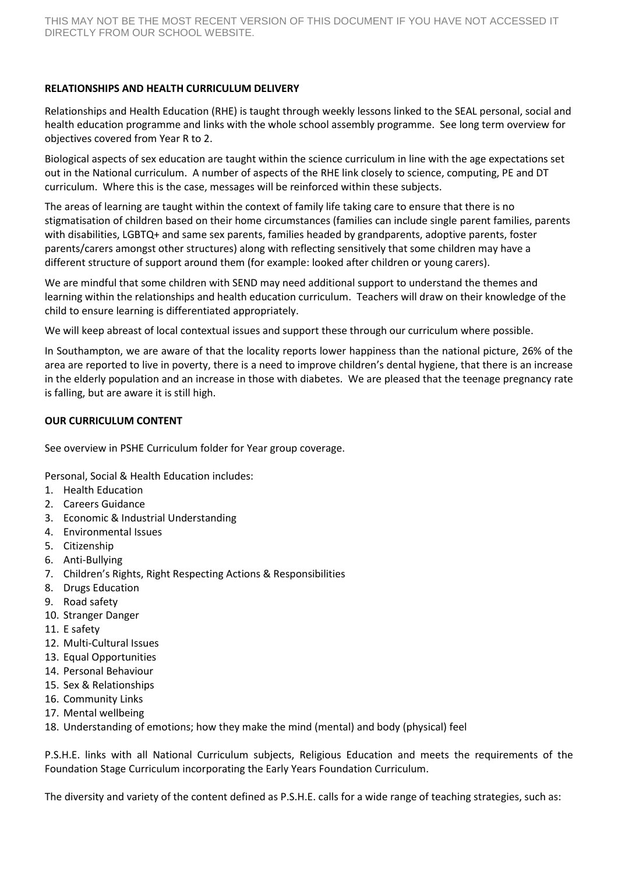## **RELATIONSHIPS AND HEALTH CURRICULUM DELIVERY**

Relationships and Health Education (RHE) is taught through weekly lessons linked to the SEAL personal, social and health education programme and links with the whole school assembly programme. See long term overview for objectives covered from Year R to 2.

Biological aspects of sex education are taught within the science curriculum in line with the age expectations set out in the National curriculum. A number of aspects of the RHE link closely to science, computing, PE and DT curriculum. Where this is the case, messages will be reinforced within these subjects.

The areas of learning are taught within the context of family life taking care to ensure that there is no stigmatisation of children based on their home circumstances (families can include single parent families, parents with disabilities, LGBTQ+ and same sex parents, families headed by grandparents, adoptive parents, foster parents/carers amongst other structures) along with reflecting sensitively that some children may have a different structure of support around them (for example: looked after children or young carers).

We are mindful that some children with SEND may need additional support to understand the themes and learning within the relationships and health education curriculum. Teachers will draw on their knowledge of the child to ensure learning is differentiated appropriately.

We will keep abreast of local contextual issues and support these through our curriculum where possible.

In Southampton, we are aware of that the locality reports lower happiness than the national picture, 26% of the area are reported to live in poverty, there is a need to improve children's dental hygiene, that there is an increase in the elderly population and an increase in those with diabetes. We are pleased that the teenage pregnancy rate is falling, but are aware it is still high.

## **OUR CURRICULUM CONTENT**

See overview in PSHE Curriculum folder for Year group coverage.

Personal, Social & Health Education includes:

- 1. Health Education
- 2. Careers Guidance
- 3. Economic & Industrial Understanding
- 4. Environmental Issues
- 5. Citizenship
- 6. Anti-Bullying
- 7. Children's Rights, Right Respecting Actions & Responsibilities
- 8. Drugs Education
- 9. Road safety
- 10. Stranger Danger
- 11. E safety
- 12. Multi-Cultural Issues
- 13. Equal Opportunities
- 14. Personal Behaviour
- 15. Sex & Relationships
- 16. Community Links
- 17. Mental wellbeing
- 18. Understanding of emotions; how they make the mind (mental) and body (physical) feel

P.S.H.E. links with all National Curriculum subjects, Religious Education and meets the requirements of the Foundation Stage Curriculum incorporating the Early Years Foundation Curriculum.

The diversity and variety of the content defined as P.S.H.E. calls for a wide range of teaching strategies, such as: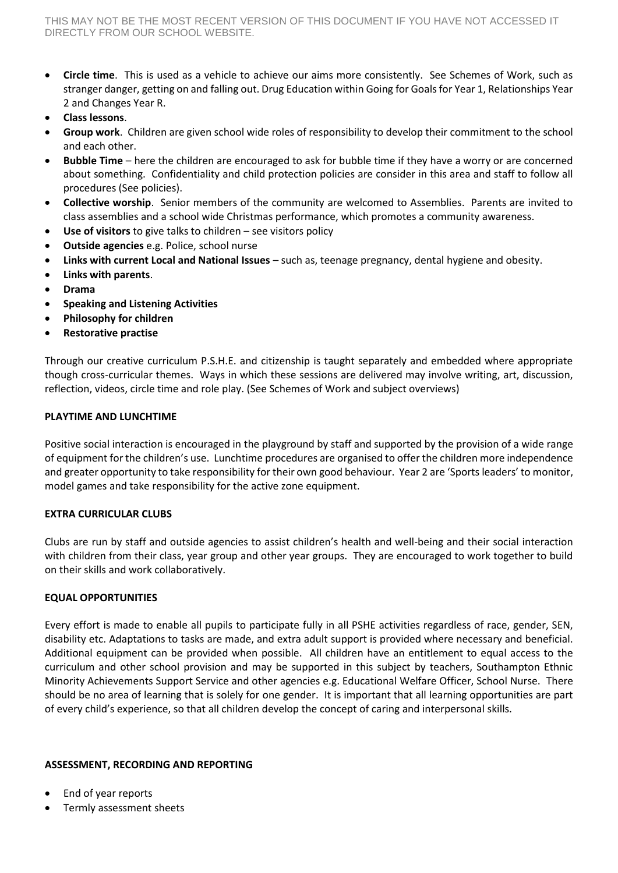- **Circle time**. This is used as a vehicle to achieve our aims more consistently. See Schemes of Work, such as stranger danger, getting on and falling out. Drug Education within Going for Goals for Year 1, Relationships Year 2 and Changes Year R.
- **Class lessons**.
- **Group work**. Children are given school wide roles of responsibility to develop their commitment to the school and each other.
- **Bubble Time** here the children are encouraged to ask for bubble time if they have a worry or are concerned about something. Confidentiality and child protection policies are consider in this area and staff to follow all procedures (See policies).
- **Collective worship**. Senior members of the community are welcomed to Assemblies. Parents are invited to class assemblies and a school wide Christmas performance, which promotes a community awareness.
- **Use of visitors** to give talks to children see visitors policy
- **Outside agencies** e.g. Police, school nurse
- **Links with current Local and National Issues** such as, teenage pregnancy, dental hygiene and obesity.
- **Links with parents**.
- **Drama**
- **Speaking and Listening Activities**
- **Philosophy for children**
- **Restorative practise**

Through our creative curriculum P.S.H.E. and citizenship is taught separately and embedded where appropriate though cross-curricular themes. Ways in which these sessions are delivered may involve writing, art, discussion, reflection, videos, circle time and role play. (See Schemes of Work and subject overviews)

## **PLAYTIME AND LUNCHTIME**

Positive social interaction is encouraged in the playground by staff and supported by the provision of a wide range of equipment for the children's use. Lunchtime procedures are organised to offer the children more independence and greater opportunity to take responsibility for their own good behaviour. Year 2 are 'Sports leaders' to monitor, model games and take responsibility for the active zone equipment.

## **EXTRA CURRICULAR CLUBS**

Clubs are run by staff and outside agencies to assist children's health and well-being and their social interaction with children from their class, year group and other year groups. They are encouraged to work together to build on their skills and work collaboratively.

## **EQUAL OPPORTUNITIES**

Every effort is made to enable all pupils to participate fully in all PSHE activities regardless of race, gender, SEN, disability etc. Adaptations to tasks are made, and extra adult support is provided where necessary and beneficial. Additional equipment can be provided when possible. All children have an entitlement to equal access to the curriculum and other school provision and may be supported in this subject by teachers, Southampton Ethnic Minority Achievements Support Service and other agencies e.g. Educational Welfare Officer, School Nurse. There should be no area of learning that is solely for one gender. It is important that all learning opportunities are part of every child's experience, so that all children develop the concept of caring and interpersonal skills.

## **ASSESSMENT, RECORDING AND REPORTING**

- End of year reports
- Termly assessment sheets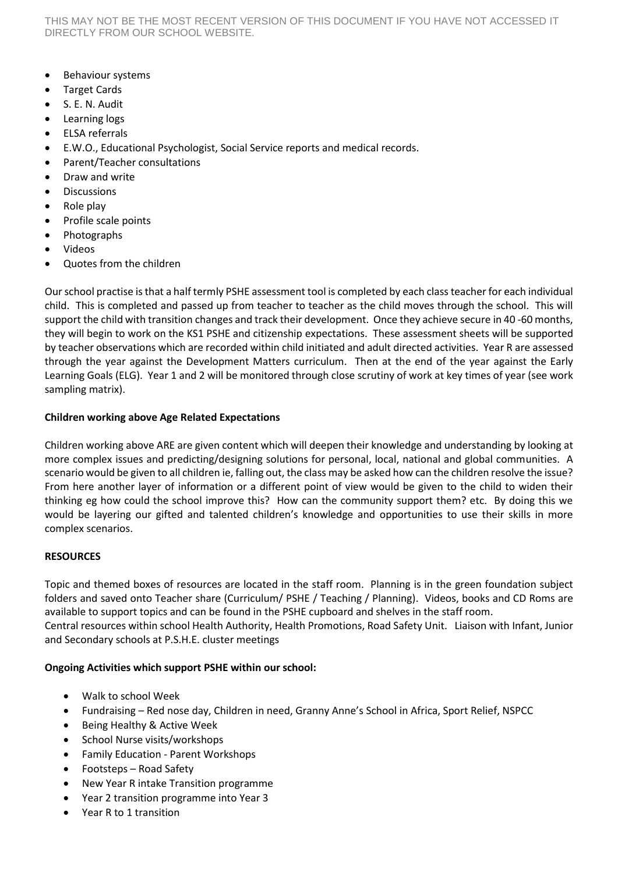- Behaviour systems
- Target Cards
- S. E. N. Audit
- Learning logs
- ELSA referrals
- E.W.O., Educational Psychologist, Social Service reports and medical records.
- Parent/Teacher consultations
- Draw and write
- Discussions
- $\bullet$  Role play
- Profile scale points
- Photographs
- Videos
- Quotes from the children

Our school practise is that a half termly PSHE assessment tool is completed by each class teacher for each individual child. This is completed and passed up from teacher to teacher as the child moves through the school. This will support the child with transition changes and track their development. Once they achieve secure in 40 -60 months, they will begin to work on the KS1 PSHE and citizenship expectations. These assessment sheets will be supported by teacher observations which are recorded within child initiated and adult directed activities. Year R are assessed through the year against the Development Matters curriculum. Then at the end of the year against the Early Learning Goals (ELG). Year 1 and 2 will be monitored through close scrutiny of work at key times of year (see work sampling matrix).

# **Children working above Age Related Expectations**

Children working above ARE are given content which will deepen their knowledge and understanding by looking at more complex issues and predicting/designing solutions for personal, local, national and global communities. A scenario would be given to all children ie, falling out, the class may be asked how can the children resolve the issue? From here another layer of information or a different point of view would be given to the child to widen their thinking eg how could the school improve this? How can the community support them? etc. By doing this we would be layering our gifted and talented children's knowledge and opportunities to use their skills in more complex scenarios.

## **RESOURCES**

Topic and themed boxes of resources are located in the staff room. Planning is in the green foundation subject folders and saved onto Teacher share (Curriculum/ PSHE / Teaching / Planning). Videos, books and CD Roms are available to support topics and can be found in the PSHE cupboard and shelves in the staff room.

Central resources within school Health Authority, Health Promotions, Road Safety Unit. Liaison with Infant, Junior and Secondary schools at P.S.H.E. cluster meetings

## **Ongoing Activities which support PSHE within our school:**

- Walk to school Week
- Fundraising Red nose day, Children in need, Granny Anne's School in Africa, Sport Relief, NSPCC
- Being Healthy & Active Week
- School Nurse visits/workshops
- Family Education Parent Workshops
- Footsteps Road Safety
- New Year R intake Transition programme
- Year 2 transition programme into Year 3
- Year R to 1 transition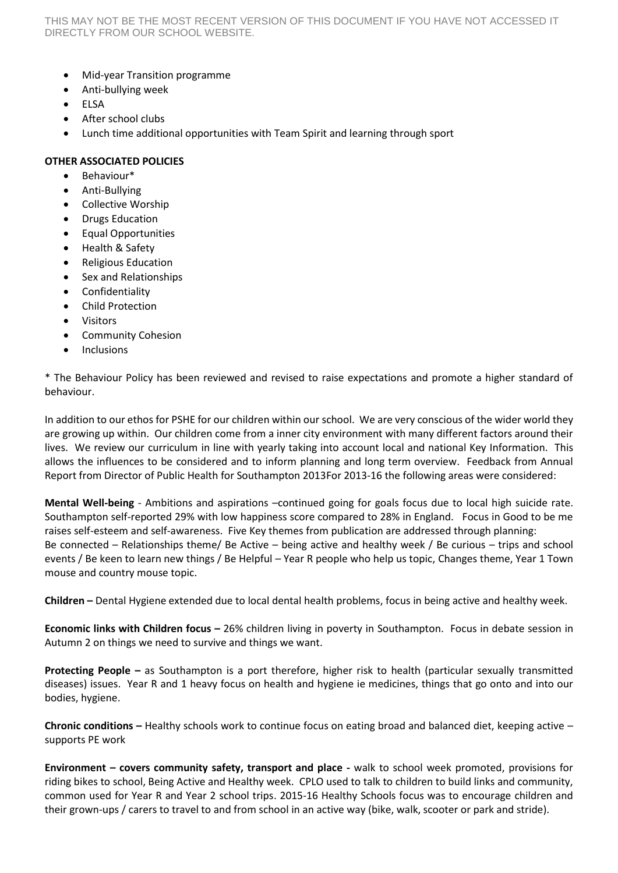- Mid-year Transition programme
- Anti-bullying week
- ELSA
- After school clubs
- Lunch time additional opportunities with Team Spirit and learning through sport

## **OTHER ASSOCIATED POLICIES**

- Behaviour\*
- Anti-Bullying
- Collective Worship
- Drugs Education
- **•** Equal Opportunities
- Health & Safety
- Religious Education
- Sex and Relationships
- **•** Confidentiality
- Child Protection
- Visitors
- Community Cohesion
- Inclusions

\* The Behaviour Policy has been reviewed and revised to raise expectations and promote a higher standard of behaviour.

In addition to our ethos for PSHE for our children within our school. We are very conscious of the wider world they are growing up within. Our children come from a inner city environment with many different factors around their lives. We review our curriculum in line with yearly taking into account local and national Key Information. This allows the influences to be considered and to inform planning and long term overview. Feedback from Annual Report from Director of Public Health for Southampton 2013For 2013-16 the following areas were considered:

**Mental Well-being** - Ambitions and aspirations –continued going for goals focus due to local high suicide rate. Southampton self-reported 29% with low happiness score compared to 28% in England. Focus in Good to be me raises self-esteem and self-awareness. Five Key themes from publication are addressed through planning: Be connected – Relationships theme/ Be Active – being active and healthy week / Be curious – trips and school events / Be keen to learn new things / Be Helpful – Year R people who help us topic, Changes theme, Year 1 Town mouse and country mouse topic.

**Children –** Dental Hygiene extended due to local dental health problems, focus in being active and healthy week.

**Economic links with Children focus –** 26% children living in poverty in Southampton. Focus in debate session in Autumn 2 on things we need to survive and things we want.

**Protecting People –** as Southampton is a port therefore, higher risk to health (particular sexually transmitted diseases) issues. Year R and 1 heavy focus on health and hygiene ie medicines, things that go onto and into our bodies, hygiene.

**Chronic conditions –** Healthy schools work to continue focus on eating broad and balanced diet, keeping active – supports PE work

**Environment – covers community safety, transport and place -** walk to school week promoted, provisions for riding bikes to school, Being Active and Healthy week. CPLO used to talk to children to build links and community, common used for Year R and Year 2 school trips. 2015-16 Healthy Schools focus was to encourage children and their grown-ups / carers to travel to and from school in an active way (bike, walk, scooter or park and stride).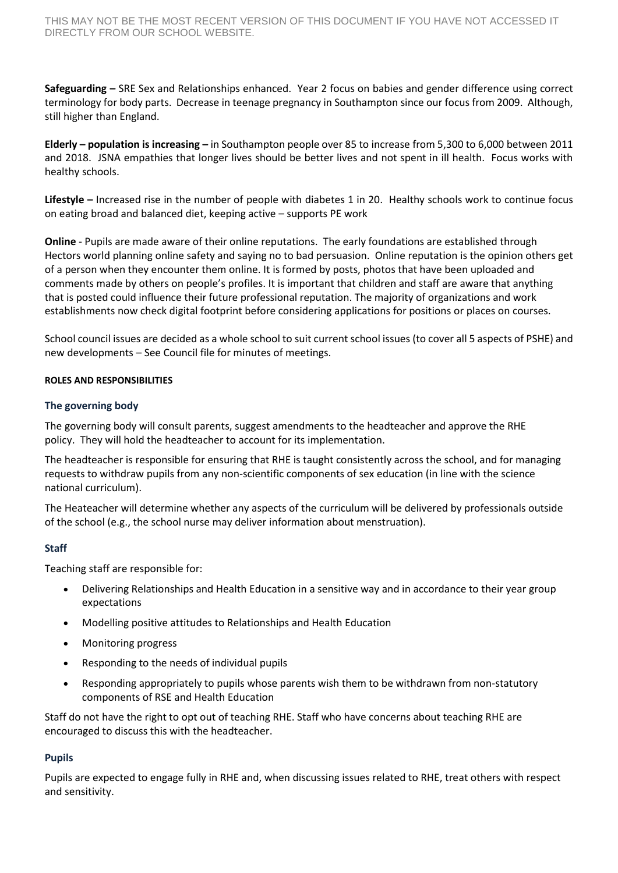**Safeguarding –** SRE Sex and Relationships enhanced. Year 2 focus on babies and gender difference using correct terminology for body parts. Decrease in teenage pregnancy in Southampton since our focus from 2009. Although, still higher than England.

**Elderly – population is increasing –** in Southampton people over 85 to increase from 5,300 to 6,000 between 2011 and 2018. JSNA empathies that longer lives should be better lives and not spent in ill health. Focus works with healthy schools.

**Lifestyle –** Increased rise in the number of people with diabetes 1 in 20.Healthy schools work to continue focus on eating broad and balanced diet, keeping active – supports PE work

**Online** - Pupils are made aware of their online reputations. The early foundations are established through Hectors world planning online safety and saying no to bad persuasion. Online reputation is the opinion others get of a person when they encounter them online. It is formed by posts, photos that have been uploaded and comments made by others on people's profiles. It is important that children and staff are aware that anything that is posted could influence their future professional reputation. The majority of organizations and work establishments now check digital footprint before considering applications for positions or places on courses.

School council issues are decided as a whole school to suit current school issues (to cover all 5 aspects of PSHE) and new developments – See Council file for minutes of meetings.

## **ROLES AND RESPONSIBILITIES**

## **The governing body**

The governing body will consult parents, suggest amendments to the headteacher and approve the RHE policy. They will hold the headteacher to account for its implementation.

The headteacher is responsible for ensuring that RHE is taught consistently across the school, and for managing requests to withdraw pupils from any non-scientific components of sex education (in line with the science national curriculum).

The Heateacher will determine whether any aspects of the curriculum will be delivered by professionals outside of the school (e.g., the school nurse may deliver information about menstruation).

## **Staff**

Teaching staff are responsible for:

- Delivering Relationships and Health Education in a sensitive way and in accordance to their year group expectations
- Modelling positive attitudes to Relationships and Health Education
- Monitoring progress
- Responding to the needs of individual pupils
- Responding appropriately to pupils whose parents wish them to be withdrawn from non-statutory components of RSE and Health Education

Staff do not have the right to opt out of teaching RHE. Staff who have concerns about teaching RHE are encouraged to discuss this with the headteacher.

## **Pupils**

Pupils are expected to engage fully in RHE and, when discussing issues related to RHE, treat others with respect and sensitivity.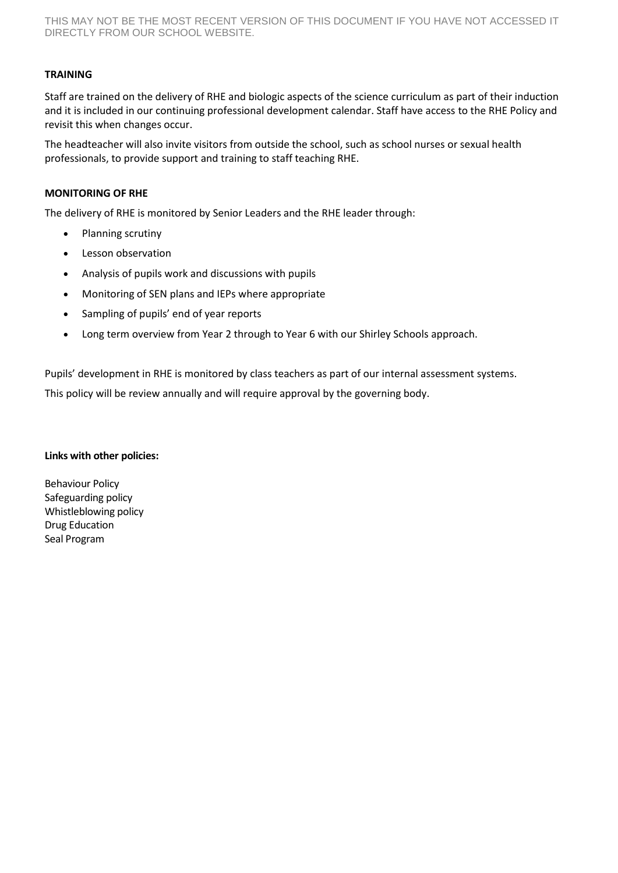# **TRAINING**

Staff are trained on the delivery of RHE and biologic aspects of the science curriculum as part of their induction and it is included in our continuing professional development calendar. Staff have access to the RHE Policy and revisit this when changes occur.

The headteacher will also invite visitors from outside the school, such as school nurses or sexual health professionals, to provide support and training to staff teaching RHE.

## **MONITORING OF RHE**

The delivery of RHE is monitored by Senior Leaders and the RHE leader through:

- Planning scrutiny
- **•** Lesson observation
- Analysis of pupils work and discussions with pupils
- Monitoring of SEN plans and IEPs where appropriate
- Sampling of pupils' end of year reports
- Long term overview from Year 2 through to Year 6 with our Shirley Schools approach.

Pupils' development in RHE is monitored by class teachers as part of our internal assessment systems.

This policy will be review annually and will require approval by the governing body.

## **Links with other policies:**

Behaviour Policy Safeguarding policy Whistleblowing policy Drug Education Seal Program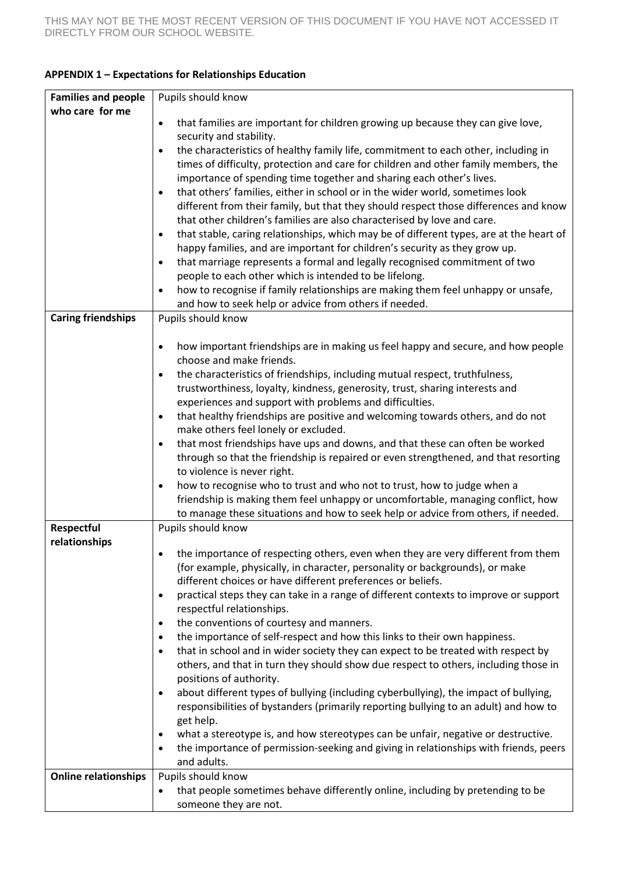|  |  | <b>APPENDIX 1 - Expectations for Relationships Education</b> |  |
|--|--|--------------------------------------------------------------|--|
|--|--|--------------------------------------------------------------|--|

| <b>Families and people</b>  | Pupils should know                                                                                                                                                    |
|-----------------------------|-----------------------------------------------------------------------------------------------------------------------------------------------------------------------|
| who care for me             |                                                                                                                                                                       |
|                             | that families are important for children growing up because they can give love,<br>$\bullet$                                                                          |
|                             | security and stability.                                                                                                                                               |
|                             | the characteristics of healthy family life, commitment to each other, including in<br>$\bullet$                                                                       |
|                             | times of difficulty, protection and care for children and other family members, the                                                                                   |
|                             | importance of spending time together and sharing each other's lives.                                                                                                  |
|                             | that others' families, either in school or in the wider world, sometimes look<br>$\bullet$                                                                            |
|                             | different from their family, but that they should respect those differences and know                                                                                  |
|                             | that other children's families are also characterised by love and care.                                                                                               |
|                             | that stable, caring relationships, which may be of different types, are at the heart of<br>$\bullet$                                                                  |
|                             | happy families, and are important for children's security as they grow up.<br>that marriage represents a formal and legally recognised commitment of two<br>$\bullet$ |
|                             | people to each other which is intended to be lifelong.                                                                                                                |
|                             | how to recognise if family relationships are making them feel unhappy or unsafe,<br>$\bullet$                                                                         |
|                             | and how to seek help or advice from others if needed.                                                                                                                 |
| <b>Caring friendships</b>   | Pupils should know                                                                                                                                                    |
|                             |                                                                                                                                                                       |
|                             | how important friendships are in making us feel happy and secure, and how people<br>$\bullet$                                                                         |
|                             | choose and make friends.                                                                                                                                              |
|                             | the characteristics of friendships, including mutual respect, truthfulness,<br>$\bullet$                                                                              |
|                             | trustworthiness, loyalty, kindness, generosity, trust, sharing interests and                                                                                          |
|                             | experiences and support with problems and difficulties.                                                                                                               |
|                             | that healthy friendships are positive and welcoming towards others, and do not<br>$\bullet$                                                                           |
|                             | make others feel lonely or excluded.                                                                                                                                  |
|                             | that most friendships have ups and downs, and that these can often be worked<br>$\bullet$                                                                             |
|                             | through so that the friendship is repaired or even strengthened, and that resorting                                                                                   |
|                             | to violence is never right.                                                                                                                                           |
|                             | how to recognise who to trust and who not to trust, how to judge when a<br>$\bullet$                                                                                  |
|                             | friendship is making them feel unhappy or uncomfortable, managing conflict, how                                                                                       |
|                             | to manage these situations and how to seek help or advice from others, if needed.                                                                                     |
| Respectful                  | Pupils should know                                                                                                                                                    |
| relationships               | the importance of respecting others, even when they are very different from them                                                                                      |
|                             | (for example, physically, in character, personality or backgrounds), or make                                                                                          |
|                             | different choices or have different preferences or beliefs.                                                                                                           |
|                             | practical steps they can take in a range of different contexts to improve or support<br>$\bullet$                                                                     |
|                             | respectful relationships.                                                                                                                                             |
|                             | the conventions of courtesy and manners.<br>$\bullet$                                                                                                                 |
|                             | the importance of self-respect and how this links to their own happiness.<br>$\bullet$                                                                                |
|                             | that in school and in wider society they can expect to be treated with respect by<br>$\bullet$                                                                        |
|                             | others, and that in turn they should show due respect to others, including those in                                                                                   |
|                             | positions of authority.                                                                                                                                               |
|                             | about different types of bullying (including cyberbullying), the impact of bullying,<br>$\bullet$                                                                     |
|                             | responsibilities of bystanders (primarily reporting bullying to an adult) and how to                                                                                  |
|                             | get help.                                                                                                                                                             |
|                             | what a stereotype is, and how stereotypes can be unfair, negative or destructive.<br>$\bullet$                                                                        |
|                             | the importance of permission-seeking and giving in relationships with friends, peers<br>$\bullet$                                                                     |
|                             | and adults.                                                                                                                                                           |
| <b>Online relationships</b> | Pupils should know                                                                                                                                                    |
|                             | that people sometimes behave differently online, including by pretending to be<br>$\bullet$                                                                           |
|                             | someone they are not.                                                                                                                                                 |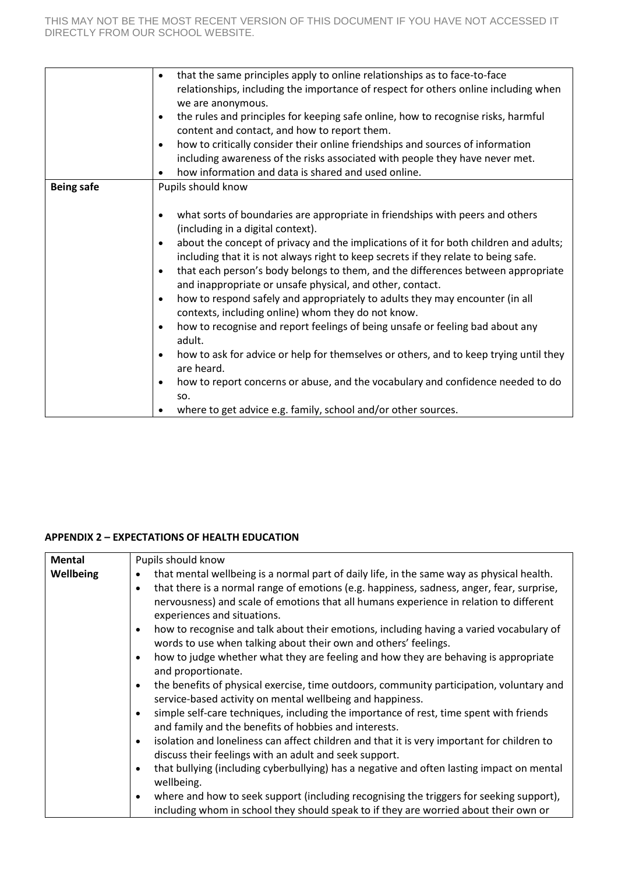|                   | that the same principles apply to online relationships as to face-to-face<br>$\bullet$<br>relationships, including the importance of respect for others online including when<br>we are anonymous.<br>the rules and principles for keeping safe online, how to recognise risks, harmful<br>$\bullet$<br>content and contact, and how to report them.<br>how to critically consider their online friendships and sources of information<br>$\bullet$<br>including awareness of the risks associated with people they have never met.<br>how information and data is shared and used online.<br>$\bullet$                                                                                                                                                                                                                                                                                                                                                                                                                                                                 |
|-------------------|-------------------------------------------------------------------------------------------------------------------------------------------------------------------------------------------------------------------------------------------------------------------------------------------------------------------------------------------------------------------------------------------------------------------------------------------------------------------------------------------------------------------------------------------------------------------------------------------------------------------------------------------------------------------------------------------------------------------------------------------------------------------------------------------------------------------------------------------------------------------------------------------------------------------------------------------------------------------------------------------------------------------------------------------------------------------------|
| <b>Being safe</b> | Pupils should know<br>what sorts of boundaries are appropriate in friendships with peers and others<br>$\bullet$<br>(including in a digital context).<br>about the concept of privacy and the implications of it for both children and adults;<br>$\bullet$<br>including that it is not always right to keep secrets if they relate to being safe.<br>that each person's body belongs to them, and the differences between appropriate<br>$\bullet$<br>and inappropriate or unsafe physical, and other, contact.<br>how to respond safely and appropriately to adults they may encounter (in all<br>$\bullet$<br>contexts, including online) whom they do not know.<br>how to recognise and report feelings of being unsafe or feeling bad about any<br>$\bullet$<br>adult.<br>how to ask for advice or help for themselves or others, and to keep trying until they<br>$\bullet$<br>are heard.<br>how to report concerns or abuse, and the vocabulary and confidence needed to do<br>$\bullet$<br>SO.<br>where to get advice e.g. family, school and/or other sources. |

# **APPENDIX 2 – EXPECTATIONS OF HEALTH EDUCATION**

| Mental    | Pupils should know                                                                                                                                                                                                                                                                                                                        |
|-----------|-------------------------------------------------------------------------------------------------------------------------------------------------------------------------------------------------------------------------------------------------------------------------------------------------------------------------------------------|
| Wellbeing | that mental wellbeing is a normal part of daily life, in the same way as physical health.<br>$\bullet$<br>that there is a normal range of emotions (e.g. happiness, sadness, anger, fear, surprise,<br>$\bullet$<br>nervousness) and scale of emotions that all humans experience in relation to different<br>experiences and situations. |
|           | how to recognise and talk about their emotions, including having a varied vocabulary of<br>$\bullet$<br>words to use when talking about their own and others' feelings.                                                                                                                                                                   |
|           | how to judge whether what they are feeling and how they are behaving is appropriate<br>$\bullet$<br>and proportionate.                                                                                                                                                                                                                    |
|           | the benefits of physical exercise, time outdoors, community participation, voluntary and<br>$\bullet$<br>service-based activity on mental wellbeing and happiness.                                                                                                                                                                        |
|           | simple self-care techniques, including the importance of rest, time spent with friends<br>$\bullet$<br>and family and the benefits of hobbies and interests.                                                                                                                                                                              |
|           | isolation and loneliness can affect children and that it is very important for children to<br>$\bullet$<br>discuss their feelings with an adult and seek support.                                                                                                                                                                         |
|           | that bullying (including cyberbullying) has a negative and often lasting impact on mental<br>$\bullet$<br>wellbeing.                                                                                                                                                                                                                      |
|           | where and how to seek support (including recognising the triggers for seeking support),<br>$\bullet$<br>including whom in school they should speak to if they are worried about their own or                                                                                                                                              |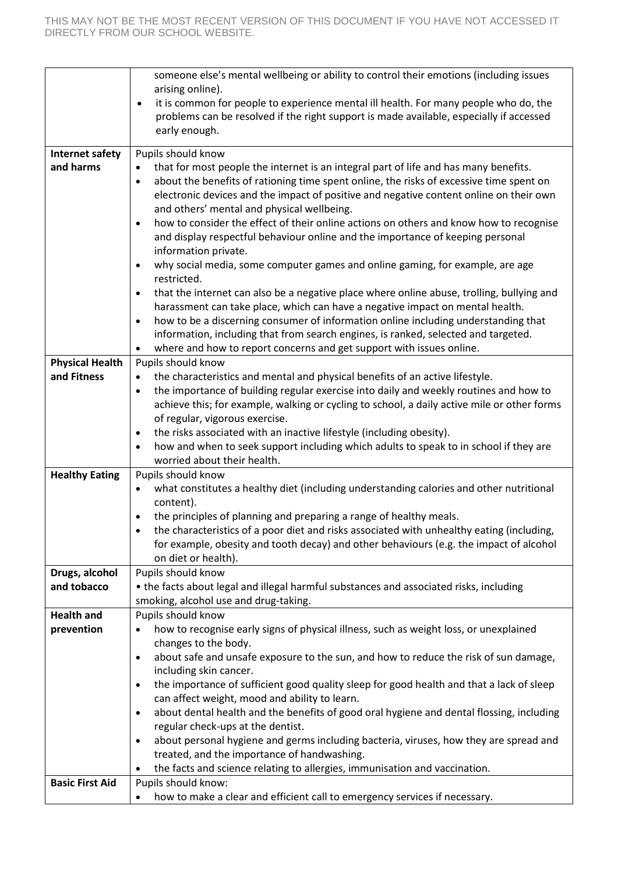|                                       | someone else's mental wellbeing or ability to control their emotions (including issues                                                                                                          |
|---------------------------------------|-------------------------------------------------------------------------------------------------------------------------------------------------------------------------------------------------|
|                                       | arising online).                                                                                                                                                                                |
|                                       | it is common for people to experience mental ill health. For many people who do, the<br>$\bullet$                                                                                               |
|                                       | problems can be resolved if the right support is made available, especially if accessed                                                                                                         |
|                                       | early enough.                                                                                                                                                                                   |
| <b>Internet safety</b>                | Pupils should know                                                                                                                                                                              |
| and harms                             | that for most people the internet is an integral part of life and has many benefits.<br>$\bullet$                                                                                               |
|                                       | about the benefits of rationing time spent online, the risks of excessive time spent on<br>$\bullet$                                                                                            |
|                                       | electronic devices and the impact of positive and negative content online on their own                                                                                                          |
|                                       | and others' mental and physical wellbeing.                                                                                                                                                      |
|                                       | how to consider the effect of their online actions on others and know how to recognise<br>$\bullet$                                                                                             |
|                                       | and display respectful behaviour online and the importance of keeping personal<br>information private.                                                                                          |
|                                       | why social media, some computer games and online gaming, for example, are age<br>$\bullet$                                                                                                      |
|                                       | restricted.                                                                                                                                                                                     |
|                                       | that the internet can also be a negative place where online abuse, trolling, bullying and<br>$\bullet$                                                                                          |
|                                       | harassment can take place, which can have a negative impact on mental health.                                                                                                                   |
|                                       | how to be a discerning consumer of information online including understanding that<br>$\bullet$                                                                                                 |
|                                       | information, including that from search engines, is ranked, selected and targeted.                                                                                                              |
|                                       | where and how to report concerns and get support with issues online.<br>$\bullet$                                                                                                               |
| <b>Physical Health</b><br>and Fitness | Pupils should know                                                                                                                                                                              |
|                                       | the characteristics and mental and physical benefits of an active lifestyle.<br>$\bullet$<br>the importance of building regular exercise into daily and weekly routines and how to<br>$\bullet$ |
|                                       | achieve this; for example, walking or cycling to school, a daily active mile or other forms                                                                                                     |
|                                       | of regular, vigorous exercise.                                                                                                                                                                  |
|                                       | the risks associated with an inactive lifestyle (including obesity).<br>$\bullet$                                                                                                               |
|                                       | how and when to seek support including which adults to speak to in school if they are<br>٠                                                                                                      |
|                                       | worried about their health.                                                                                                                                                                     |
| <b>Healthy Eating</b>                 | Pupils should know                                                                                                                                                                              |
|                                       | what constitutes a healthy diet (including understanding calories and other nutritional<br>٠                                                                                                    |
|                                       | content).<br>the principles of planning and preparing a range of healthy meals.                                                                                                                 |
|                                       | ٠<br>the characteristics of a poor diet and risks associated with unhealthy eating (including,                                                                                                  |
|                                       | for example, obesity and tooth decay) and other behaviours (e.g. the impact of alcohol                                                                                                          |
|                                       | on diet or health).                                                                                                                                                                             |
| Drugs, alcohol                        | Pupils should know                                                                                                                                                                              |
| and tobacco                           | • the facts about legal and illegal harmful substances and associated risks, including                                                                                                          |
|                                       | smoking, alcohol use and drug-taking.                                                                                                                                                           |
| <b>Health and</b>                     | Pupils should know                                                                                                                                                                              |
| prevention                            | how to recognise early signs of physical illness, such as weight loss, or unexplained<br>$\bullet$                                                                                              |
|                                       | changes to the body.<br>about safe and unsafe exposure to the sun, and how to reduce the risk of sun damage,<br>$\bullet$                                                                       |
|                                       | including skin cancer.                                                                                                                                                                          |
|                                       | the importance of sufficient good quality sleep for good health and that a lack of sleep<br>$\bullet$                                                                                           |
|                                       | can affect weight, mood and ability to learn.                                                                                                                                                   |
|                                       | about dental health and the benefits of good oral hygiene and dental flossing, including<br>$\bullet$                                                                                           |
|                                       | regular check-ups at the dentist.                                                                                                                                                               |
|                                       | about personal hygiene and germs including bacteria, viruses, how they are spread and<br>$\bullet$                                                                                              |
|                                       | treated, and the importance of handwashing.                                                                                                                                                     |
|                                       | the facts and science relating to allergies, immunisation and vaccination.                                                                                                                      |
| <b>Basic First Aid</b>                | Pupils should know:                                                                                                                                                                             |
|                                       | how to make a clear and efficient call to emergency services if necessary.<br>$\bullet$                                                                                                         |